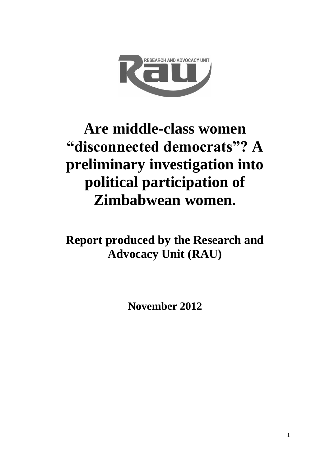

# **Are middle-class women "disconnected democrats"? A preliminary investigation into political participation of Zimbabwean women.**

**Report produced by the Research and Advocacy Unit (RAU)**

**November 2012**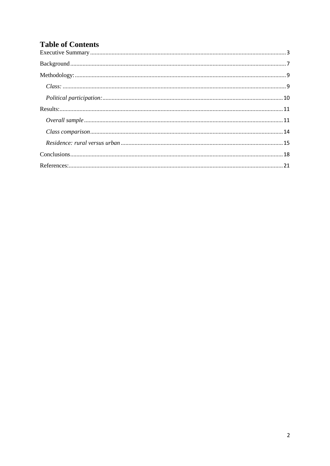# **Table of Contents**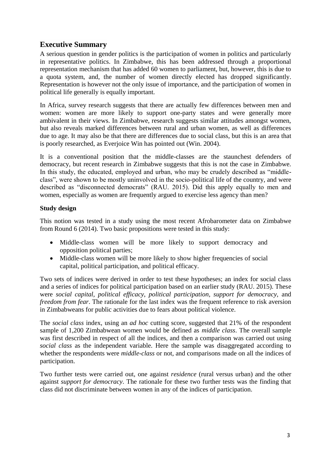# <span id="page-2-0"></span>**Executive Summary**

A serious question in gender politics is the participation of women in politics and particularly in representative politics. In Zimbabwe, this has been addressed through a proportional representation mechanism that has added 60 women to parliament, but, however, this is due to a quota system, and, the number of women directly elected has dropped significantly. Representation is however not the only issue of importance, and the participation of women in political life generally is equally important.

In Africa, survey research suggests that there are actually few differences between men and women: women are more likely to support one-party states and were generally more ambivalent in their views. In Zimbabwe, research suggests similar attitudes amongst women, but also reveals marked differences between rural and urban women, as well as differences due to age. It may also be that there are differences due to social class, but this is an area that is poorly researched, as Everjoice Win has pointed out (Win. 2004).

It is a conventional position that the middle-classes are the staunchest defenders of democracy, but recent research in Zimbabwe suggests that this is not the case in Zimbabwe. In this study, the educated, employed and urban, who may be crudely described as "middleclass", were shown to be mostly uninvolved in the socio-political life of the country, and were described as "disconnected democrats" (RAU. 2015). Did this apply equally to men and women, especially as women are frequently argued to exercise less agency than men?

## **Study design**

This notion was tested in a study using the most recent Afrobarometer data on Zimbabwe from Round 6 (2014). Two basic propositions were tested in this study:

- Middle-class women will be more likely to support democracy and opposition political parties;
- Middle-class women will be more likely to show higher frequencies of social capital, political participation, and political efficacy.

Two sets of indices were derived in order to test these hypotheses; an index for social class and a series of indices for political participation based on an earlier study (RAU. 2015). These were *social capital*, *political efficacy*, *political participation, support for democracy,* and *freedom from fear*. The rationale for the last index was the frequent reference to risk aversion in Zimbabweans for public activities due to fears about political violence.

The *social class* index, using an *ad hoc* cutting score, suggested that 21% of the respondent sample of 1,200 Zimbabwean women would be defined as *middle class*. The overall sample was first described in respect of all the indices, and then a comparison was carried out using *social class* as the independent variable. Here the sample was disaggregated according to whether the respondents were *middle-class* or not, and comparisons made on all the indices of participation.

Two further tests were carried out, one against *residence* (rural versus urban) and the other against *support for democracy*. The rationale for these two further tests was the finding that class did not discriminate between women in any of the indices of participation.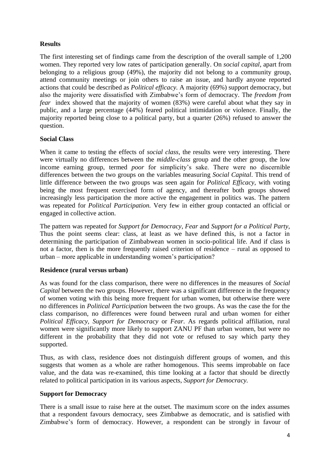# **Results**

The first interesting set of findings came from the description of the overall sample of 1,200 women. They reported very low rates of participation generally. On *social capital*, apart from belonging to a religious group (49%), the majority did not belong to a community group, attend community meetings or join others to raise an issue, and hardly anyone reported actions that could be described as *Political efficacy.* A majority (69%) support democracy, but also the majority were dissatisfied with Zimbabwe"s form of democracy. The *freedom from fear* index showed that the majority of women (83%) were careful about what they say in public, and a large percentage (44%) feared political intimidation or violence. Finally, the majority reported being close to a political party, but a quarter (26%) refused to answer the question.

#### **Social Class**

When it came to testing the effects of *social class*, the results were very interesting. There were virtually no differences between the *middle-class* group and the other group, the low income earning group, termed *poor* for simplicity's sake. There were no discernible differences between the two groups on the variables measuring *Social Capital*. This trend of little difference between the two groups was seen again for *Political Efficacy*, with voting being the most frequent exercised form of agency, and thereafter both groups showed increasingly less participation the more active the engagement in politics was. The pattern was repeated for *Political Participation.* Very few in either group contacted an official or engaged in collective action.

The pattern was repeated for *Support for Democracy*, *Fear* and *Support for a Political Party*, Thus the point seems clear: class, at least as we have defined this, is not a factor in determining the participation of Zimbabwean women in socio-political life. And if class is not a factor, then is the more frequently raised criterion of residence – rural as opposed to urban – more applicable in understanding women"s participation?

#### **Residence (rural versus urban)**

As was found for the class comparison, there were no differences in the measures of *Social Capital* between the two groups. However, there was a significant difference in the frequency of women voting with this being more frequent for urban women, but otherwise there were no differences in *Political Participation* between the two groups. As was the case the for the class comparison, no differences were found between rural and urban women for either *Political Efficacy, Support for Democracy* or *Fear*. As regards political affiliation, rural women were significantly more likely to support ZANU PF than urban women, but were no different in the probability that they did not vote or refused to say which party they supported.

Thus, as with class, residence does not distinguish different groups of women, and this suggests that women as a whole are rather homogenous. This seems improbable on face value, and the data was re-examined, this time looking at a factor that should be directly related to political participation in its various aspects, *Support for Democracy.*

#### **Support for Democracy**

There is a small issue to raise here at the outset. The maximum score on the index assumes that a respondent favours democracy, sees Zimbabwe as democratic, and is satisfied with Zimbabwe"s form of democracy. However, a respondent can be strongly in favour of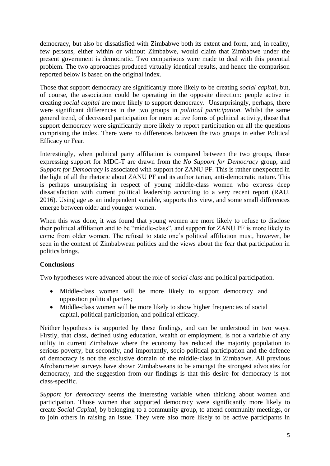democracy, but also be dissatisfied with Zimbabwe both its extent and form, and, in reality, few persons, either within or without Zimbabwe, would claim that Zimbabwe under the present government is democratic. Two comparisons were made to deal with this potential problem. The two approaches produced virtually identical results, and hence the comparison reported below is based on the original index.

Those that support democracy are significantly more likely to be creating *social capital*, but, of course, the association could be operating in the opposite direction: people active in creating *social capital* are more likely to support democracy. Unsurprisingly, perhaps, there were significant differences in the two groups in *political participation*. Whilst the same general trend, of decreased participation for more active forms of political activity, those that support democracy were significantly more likely to report participation on all the questions comprising the index. There were no differences between the two groups in either Political Efficacy or Fear.

Interestingly, when political party affiliation is compared between the two groups, those expressing support for MDC-T are drawn from the *No Support for Democracy* group, and *Support for Democracy* is associated with support for ZANU PF. This is rather unexpected in the light of all the rhetoric about ZANU PF and its authoritarian, anti-democratic nature. This is perhaps unsurprising in respect of young middle-class women who express deep dissatisfaction with current political leadership according to a very recent report (RAU. 2016). Using age as an independent variable, supports this view, and some small differences emerge between older and younger women.

When this was done, it was found that young women are more likely to refuse to disclose their political affiliation and to be "middle-class", and support for ZANU PF is more likely to come from older women. The refusal to state one"s political affiliation must, however, be seen in the context of Zimbabwean politics and the views about the fear that participation in politics brings.

#### **Conclusions**

Two hypotheses were advanced about the role of *social class* and political participation.

- Middle-class women will be more likely to support democracy and opposition political parties;
- Middle-class women will be more likely to show higher frequencies of social capital, political participation, and political efficacy.

Neither hypothesis is supported by these findings, and can be understood in two ways. Firstly, that class, defined using education, wealth or employment, is not a variable of any utility in current Zimbabwe where the economy has reduced the majority population to serious poverty, but secondly, and importantly, socio-political participation and the defence of democracy is not the exclusive domain of the middle-class in Zimbabwe. All previous Afrobarometer surveys have shown Zimbabweans to be amongst the strongest advocates for democracy, and the suggestion from our findings is that this desire for democracy is not class-specific.

*Support for democracy* seems the interesting variable when thinking about women and participation. Those women that supported democracy were significantly more likely to create *Social Capital*, by belonging to a community group, to attend community meetings, or to join others in raising an issue. They were also more likely to be active participants in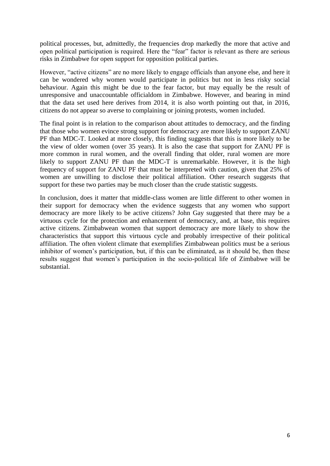political processes, but, admittedly, the frequencies drop markedly the more that active and open political participation is required. Here the "fear" factor is relevant as there are serious risks in Zimbabwe for open support for opposition political parties.

However, "active citizens" are no more likely to engage officials than anyone else, and here it can be wondered why women would participate in politics but not in less risky social behaviour. Again this might be due to the fear factor, but may equally be the result of unresponsive and unaccountable officialdom in Zimbabwe. However, and bearing in mind that the data set used here derives from 2014, it is also worth pointing out that, in 2016, citizens do not appear so averse to complaining or joining protests, women included.

The final point is in relation to the comparison about attitudes to democracy, and the finding that those who women evince strong support for democracy are more likely to support ZANU PF than MDC-T. Looked at more closely, this finding suggests that this is more likely to be the view of older women (over 35 years). It is also the case that support for ZANU PF is more common in rural women, and the overall finding that older, rural women are more likely to support ZANU PF than the MDC-T is unremarkable. However, it is the high frequency of support for ZANU PF that must be interpreted with caution, given that 25% of women are unwilling to disclose their political affiliation. Other research suggests that support for these two parties may be much closer than the crude statistic suggests.

In conclusion, does it matter that middle-class women are little different to other women in their support for democracy when the evidence suggests that any women who support democracy are more likely to be active citizens? John Gay suggested that there may be a virtuous cycle for the protection and enhancement of democracy, and, at base, this requires active citizens. Zimbabwean women that support democracy are more likely to show the characteristics that support this virtuous cycle and probably irrespective of their political affiliation. The often violent climate that exemplifies Zimbabwean politics must be a serious inhibitor of women's participation, but, if this can be eliminated, as it should be, then these results suggest that women"s participation in the socio-political life of Zimbabwe will be substantial.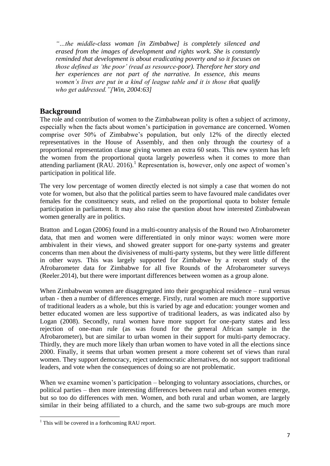*"…the middle-class woman [in Zimbabwe] is completely silenced and erased from the images of development and rights work. She is constantly reminded that development is about eradicating poverty and so it focuses on those defined as "the poor" (read as resource-poor). Therefore her story and her experiences are not part of the narrative. In essence, this means women"s lives are put in a kind of league table and it is those that qualify who get addressed."[Win, 2004:63]*

# <span id="page-6-0"></span>**Background**

The role and contribution of women to the Zimbabwean polity is often a subject of acrimony, especially when the facts about women"s participation in governance are concerned. Women comprise over 50% of Zimbabwe"s population, but only 12% of the directly elected representatives in the House of Assembly, and then only through the courtesy of a proportional representation clause giving women an extra 60 seats. This new system has left the women from the proportional quota largely powerless when it comes to more than attending parliament  $(RAU. 2016)$ .<sup>1</sup> Representation is, however, only one aspect of women's participation in political life.

The very low percentage of women directly elected is not simply a case that women do not vote for women, but also that the political parties seem to have favoured male candidates over females for the constituency seats, and relied on the proportional quota to bolster female participation in parliament. It may also raise the question about how interested Zimbabwean women generally are in politics.

Bratton and Logan (2006) found in a multi-country analysis of the Round two Afrobarometer data, that men and women were differentiated in only minor ways: women were more ambivalent in their views, and showed greater support for one-party systems and greater concerns than men about the divisiveness of multi-party systems, but they were little different in other ways. This was largely supported for Zimbabwe by a recent study of the Afrobarometer data for Zimbabwe for all five Rounds of the Afrobarometer surveys (Reeler.2014), but there were important differences between women as a group alone.

When Zimbabwean women are disaggregated into their geographical residence – rural versus urban - then a number of differences emerge. Firstly, rural women are much more supportive of traditional leaders as a whole, but this is varied by age and education: younger women and better educated women are less supportive of traditional leaders, as was indicated also by Logan (2008). Secondly, rural women have more support for one-party states and less rejection of one-man rule (as was found for the general African sample in the Afrobarometer), but are similar to urban women in their support for multi-party democracy. Thirdly, they are much more likely than urban women to have voted in all the elections since 2000. Finally, it seems that urban women present a more coherent set of views than rural women. They support democracy, reject undemocratic alternatives, do not support traditional leaders, and vote when the consequences of doing so are not problematic.

When we examine women's participation – belonging to voluntary associations, churches, or political parties – then more interesting differences between rural and urban women emerge, but so too do differences with men. Women, and both rural and urban women, are largely similar in their being affiliated to a church, and the same two sub-groups are much more

**.** 

<sup>&</sup>lt;sup>1</sup> This will be covered in a forthcoming RAU report.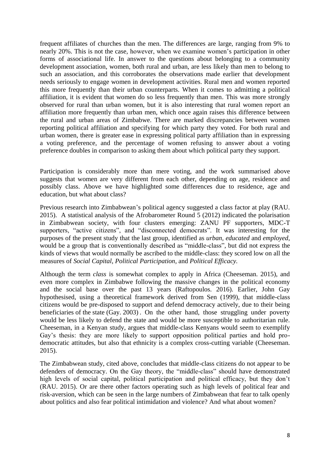frequent affiliates of churches than the men. The differences are large, ranging from 9% to nearly 20%. This is not the case, however, when we examine women"s participation in other forms of associational life. In answer to the questions about belonging to a community development association, women, both rural and urban, are less likely than men to belong to such an association, and this corroborates the observations made earlier that development needs seriously to engage women in development activities. Rural men and women reported this more frequently than their urban counterparts. When it comes to admitting a political affiliation, it is evident that women do so less frequently than men. This was more strongly observed for rural than urban women, but it is also interesting that rural women report an affiliation more frequently than urban men, which once again raises this difference between the rural and urban areas of Zimbabwe. There are marked discrepancies between women reporting political affiliation and specifying for which party they voted. For both rural and urban women, there is greater ease in expressing political party affiliation than in expressing a voting preference, and the percentage of women refusing to answer about a voting preference doubles in comparison to asking them about which political party they support.

Participation is considerably more than mere voting, and the work summarised above suggests that women are very different from each other, depending on age, residence and possibly class. Above we have highlighted some differences due to residence, age and education, but what about class?

Previous research into Zimbabwean"s political agency suggested a class factor at play (RAU. 2015). A statistical analysis of the Afrobarometer Round 5 (2012) indicated the polarisation in Zimbabwean society, with four clusters emerging: ZANU PF supporters, MDC-T supporters, "active citizens", and "disconnected democrats". It was interesting for the purposes of the present study that the last group, identified as *urban, educated* and *employed*, would be a group that is conventionally described as "middle-class", but did not express the kinds of views that would normally be ascribed to the middle-class: they scored low on all the measures of *Social Capital*, *Political Participation*, and *Political Efficacy.*

Although the term *class* is somewhat complex to apply in Africa (Cheeseman. 2015), and even more complex in Zimbabwe following the massive changes in the political economy and the social base over the past 13 years (Raftopoulos. 2016). Earlier, John Gay hypothesised, using a theoretical framework derived from Sen (1999), that middle-class citizens would be pre-disposed to support and defend democracy actively, due to their being beneficiaries of the state (Gay. 2003) . On the other hand, those struggling under poverty would be less likely to defend the state and would be more susceptible to authoritarian rule. Cheeseman, in a Kenyan study, argues that middle-class Kenyans would seem to exemplify Gay's thesis: they are more likely to support opposition political parties and hold prodemocratic attitudes, but also that ethnicity is a complex cross-cutting variable (Cheeseman. 2015).

The Zimbabwean study, cited above, concludes that middle-class citizens do not appear to be defenders of democracy. On the Gay theory, the "middle-class" should have demonstrated high levels of social capital, political participation and political efficacy, but they don't (RAU. 2015). Or are there other factors operating such as high levels of political fear and risk-aversion, which can be seen in the large numbers of Zimbabwean that fear to talk openly about politics and also fear political intimidation and violence? And what about women?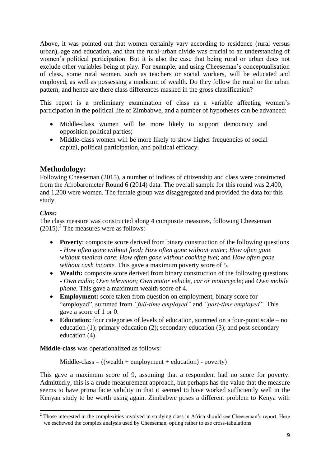Above, it was pointed out that women certainly vary according to residence (rural versus urban), age and education, and that the rural-urban divide was crucial to an understanding of women"s political participation. But it is also the case that being rural or urban does not exclude other variables being at play. For example, and using Cheeseman"s conceptualisation of class, some rural women, such as teachers or social workers, will be educated and employed, as well as possessing a modicum of wealth. Do they follow the rural or the urban pattern, and hence are there class differences masked in the gross classification?

This report is a preliminary examination of class as a variable affecting women"s participation in the political life of Zimbabwe, and a number of hypotheses can be advanced:

- Middle-class women will be more likely to support democracy and opposition political parties;
- Middle-class women will be more likely to show higher frequencies of social capital, political participation, and political efficacy.

# <span id="page-8-0"></span>**Methodology:**

Following Cheeseman (2015), a number of indices of citizenship and class were constructed from the Afrobarometer Round 6 (2014) data. The overall sample for this round was 2,400, and 1,200 were women. The female group was disaggregated and provided the data for this study.

## <span id="page-8-1"></span>*Class:*

The class measure was constructed along 4 composite measures, following Cheeseman  $(2015)$ .<sup>2</sup> The measures were as follows:

- **Poverty**: composite score derived from binary construction of the following questions - *How often gone without food; How often gone without water; How often gone without medical care*; *How often gone without cooking fuel*; and *How often gone without cash income.* This gave a maximum poverty score of 5.
- Wealth: composite score derived from binary construction of the following questions - *Own radio; Own television; Own motor vehicle, car or motorcycle*; and *Own mobile phone.* This gave a maximum wealth score of 4.
- **Employment:** score taken from question on employment, binary score for "employed", summed from *"full-time employed"* and *"part-time employed".* This gave a score of 1 or 0.
- **Education:** four categories of levels of education, summed on a four-point scale no education (1); primary education (2); secondary education (3); and post-secondary education (4).

**Middle-class** was operationalized as follows:

 $Midde-class = ((wealth + employment + education) - poetry)$ 

This gave a maximum score of 9, assuming that a respondent had no score for poverty. Admittedly, this is a crude measurement approach, but perhaps has the value that the measure seems to have prima facie validity in that it seemed to have worked sufficiently well in the Kenyan study to be worth using again. Zimbabwe poses a different problem to Kenya with

**<sup>.</sup>**  $2$  Those interested in the complexities involved in studying class in Africa should see Cheeseman's report. Here we eschewed the complex analysis used by Cheeseman, opting rather to use cross-tabulations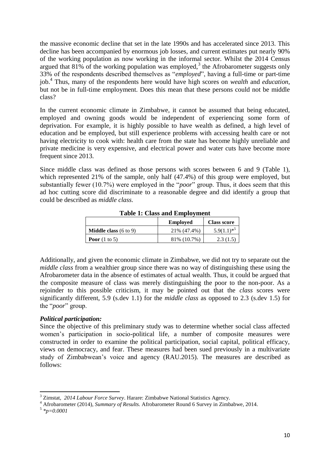the massive economic decline that set in the late 1990s and has accelerated since 2013. This decline has been accompanied by enormous job losses, and current estimates put nearly 90% of the working population as now working in the informal sector. Whilst the 2014 Census argued that  $81\%$  of the working population was employed,<sup>3</sup> the Afrobarometer suggests only 33% of the respondents described themselves as "*employed*", having a full-time or part-time job.<sup>4</sup> Thus, many of the respondents here would have high scores on *wealth* and *education*, but not be in full-time employment. Does this mean that these persons could not be middle class?

In the current economic climate in Zimbabwe, it cannot be assumed that being educated, employed and owning goods would be independent of experiencing some form of deprivation. For example, it is highly possible to have wealth as defined, a high level of education and be employed, but still experience problems with accessing health care or not having electricity to cook with: health care from the state has become highly unreliable and private medicine is very expensive, and electrical power and water cuts have become more frequent since 2013.

Since middle class was defined as those persons with scores between 6 and 9 (Table 1), which represented 21% of the sample, only half  $(47.4%)$  of this group were employed, but substantially fewer (10.7%) were employed in the "*poor*" group. Thus, it does seem that this ad hoc cutting score did discriminate to a reasonable degree and did identify a group that could be described as *middle class.*

|                                         | <b>Employed</b><br><b>Class score</b> |                        |  |  |
|-----------------------------------------|---------------------------------------|------------------------|--|--|
| <b>Middle class</b> $(6 \text{ to } 9)$ | 21\% (47.4\%)                         | $1 \times 2$<br>5.9(1. |  |  |
| <b>Poor</b> $(1 \text{ to } 5)$         | 81\% (10.7\%)                         | 2.3(1.5)               |  |  |

#### **Table 1: Class and Employment**

Additionally, and given the economic climate in Zimbabwe, we did not try to separate out the *middle class* from a wealthier group since there was no way of distinguishing these using the Afrobarometer data in the absence of estimates of actual wealth. Thus, it could be argued that the composite measure of class was merely distinguishing the poor to the non-poor. As a rejoinder to this possible criticism, it may be pointed out that the *class* scores were significantly different, 5.9 (s.dev 1.1) for the *middle class* as opposed to 2.3 (s.dev 1.5) for the "*poor*" group.

#### <span id="page-9-0"></span>*Political participation:*

Since the objective of this preliminary study was to determine whether social class affected women's participation in socio-political life, a number of composite measures were constructed in order to examine the political participation, social capital, political efficacy, views on democracy, and fear. These measures had been sued previously in a multivariate study of Zimbabwean"s voice and agency (RAU.2015). The measures are described as follows:

**<sup>.</sup>** <sup>3</sup> Zimstat, *2014 Labour Force Survey*. Harare: Zimbabwe National Statistics Agency.

<sup>&</sup>lt;sup>4</sup> Afrobarometer (2014), *Summary of Results.* Afrobarometer Round 6 Survey in Zimbabwe, 2014.

<sup>5</sup> *\*p=0.0001*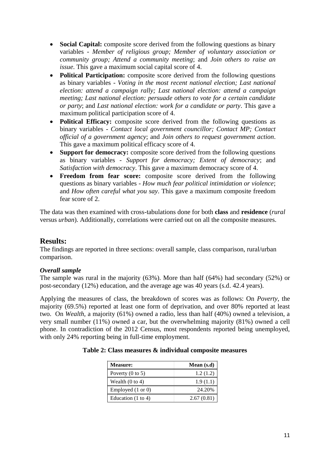- **Social Capital:** composite score derived from the following questions as binary variables - *Member of religious group; Member of voluntary association or community group; Attend a community meeting*; and *Join others to raise an issue*. This gave a maximum social capital score of 4.
- **Political Participation:** composite score derived from the following questions as binary variables - *Voting in the most recent national election; Last national election: attend a campaign rally; Last national election: attend a campaign meeting; Last national election: persuade others to vote for a certain candidate or party*; and *Last national election: work for a candidate or party*. This gave a maximum political participation score of 4.
- **Political Efficacy:** composite score derived from the following questions as binary variables - *Contact local government councillor; Contact MP; Contact official of a government agency*; and *Join others to request government action*. This gave a maximum political efficacy score of 4.
- **Support for democracy:** composite score derived from the following questions as binary variables - *Support for democracy; Extent of democracy*; and *Satisfaction with democracy*. This gave a maximum democracy score of 4.
- **Freedom from fear score:** composite score derived from the following questions as binary variables - *How much fear political intimidation or violence*; and *How often careful what you say*. This gave a maximum composite freedom fear score of 2.

The data was then examined with cross-tabulations done for both **class** and **residence** (*rural*  versus *urban*). Additionally, correlations were carried out on all the composite measures.

# <span id="page-10-0"></span>**Results:**

The findings are reported in three sections: overall sample, class comparison, rural/urban comparison.

#### <span id="page-10-1"></span>*Overall sample*

The sample was rural in the majority (63%). More than half (64%) had secondary (52%) or post-secondary (12%) education, and the average age was 40 years (s.d. 42.4 years).

Applying the measures of class, the breakdown of scores was as follows: On *Poverty*, the majority (69.5%) reported at least one form of deprivation, and over 80% reported at least two. On *Wealth,* a majority (61%) owned a radio, less than half (40%) owned a television, a very small number (11%) owned a car, but the overwhelming majority (81%) owned a cell phone. In contradiction of the 2012 Census, most respondents reported being unemployed, with only 24% reporting being in full-time employment.

| <b>Measure:</b>               | Mean $(s.d)$ |
|-------------------------------|--------------|
| Poverty $(0 \text{ to } 5)$   | 1.2(1.2)     |
| Wealth $(0 \text{ to } 4)$    | 1.9(1.1)     |
| Employed (1 or 0)             | 24.20%       |
| Education $(1 \text{ to } 4)$ | 2.67(0.81)   |

#### **Table 2: Class measures & individual composite measures**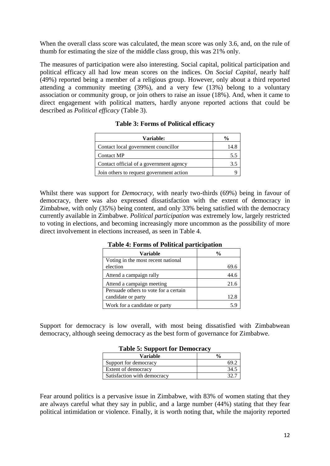When the overall class score was calculated, the mean score was only 3.6, and, on the rule of thumb for estimating the size of the middle class group, this was 21% only.

The measures of participation were also interesting. Social capital, political participation and political efficacy all had low mean scores on the indices. On *Social Capital*, nearly half (49%) reported being a member of a religious group. However, only about a third reported attending a community meeting (39%), and a very few (13%) belong to a voluntary association or community group, or join others to raise an issue (18%). And, when it came to direct engagement with political matters, hardly anyone reported actions that could be described as *Political efficacy* (Table 3).

| Variable:                                | $\%$ |
|------------------------------------------|------|
| Contact local government councillor      | 14.8 |
| <b>Contact MP</b>                        | 5.5  |
| Contact official of a government agency  | 3.5  |
| Join others to request government action |      |

Whilst there was support for *Democracy*, with nearly two-thirds (69%) being in favour of democracy, there was also expressed dissatisfaction with the extent of democracy in Zimbabwe, with only (35%) being content, and only 33% being satisfied with the democracy currently available in Zimbabwe. *Political participation* was extremely low, largely restricted to voting in elections, and becoming increasingly more uncommon as the possibility of more direct involvement in elections increased, as seen in Table 4.

| Variable                              | $\frac{0}{0}$ |  |
|---------------------------------------|---------------|--|
| Voting in the most recent national    |               |  |
| election                              | 69.6          |  |
| Attend a campaign rally               | 44.6          |  |
| Attend a campaign meeting             | 21.6          |  |
| Persuade others to vote for a certain |               |  |
| candidate or party                    | 12.8          |  |
| Work for a candidate or party         |               |  |

**Table 4: Forms of Political participation**

Support for democracy is low overall, with most being dissatisfied with Zimbabwean democracy, although seeing democracy as the best form of governance for Zimbabwe.

| Table 5: Support for Democracy |               |  |  |
|--------------------------------|---------------|--|--|
| <b>Variable</b>                | $\frac{0}{0}$ |  |  |
| Support for democracy          | 69 °          |  |  |
| Extent of democracy            | 34.5          |  |  |
| Satisfaction with democracy    |               |  |  |

## $T_{\rm L}$   $T_{\rm L}$   $T_{\rm L}$   $\alpha$

Fear around politics is a pervasive issue in Zimbabwe, with 83% of women stating that they are always careful what they say in public, and a large number (44%) stating that they fear political intimidation or violence. Finally, it is worth noting that, while the majority reported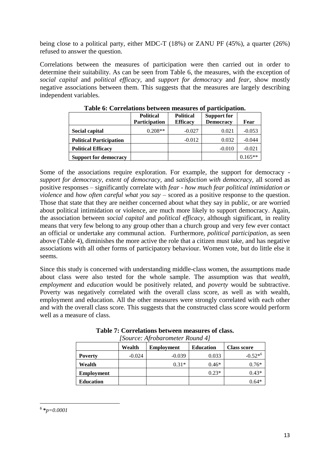being close to a political party, either MDC-T (18%) or ZANU PF (45%), a quarter (26%) refused to answer the question.

Correlations between the measures of participation were then carried out in order to determine their suitability. As can be seen from Table 6, the measures, with the exception of *social capital* and *political efficacy*, and *support for democracy* and *fear*, show mostly negative associations between them. This suggests that the measures are largely describing independent variables.

|                                | <b>Political</b>     | <b>Political</b> | <b>Support for</b> |           |
|--------------------------------|----------------------|------------------|--------------------|-----------|
|                                | <b>Participation</b> | <b>Efficacy</b>  | <b>Democracy</b>   | Fear      |
| Social capital                 | $0.208**$            | $-0.027$         | 0.021              | $-0.053$  |
| <b>Political Participation</b> |                      | $-0.012$         | 0.032              | $-0.044$  |
| <b>Political Efficacy</b>      |                      |                  | $-0.010$           | $-0.021$  |
| <b>Support for democracy</b>   |                      |                  |                    | $0.165**$ |

**Table 6: Correlations between measures of participation.**

Some of the associations require exploration. For example, the support for democracy *support for democracy, extent of democracy,* and *satisfaction with democracy,* all scored as positive responses – significantly correlate with *fear* - *how much fear political intimidation or violence* and *how often careful what you say* – scored as a positive response to the question. Those that state that they are neither concerned about what they say in public, or are worried about political intimidation or violence, are much more likely to support democracy. Again, the association between *social capital* and *political efficacy*, although significant, in reality means that very few belong to any group other than a church group and very few ever contact an official or undertake any communal action. Furthermore, *political participation*, as seen above (Table 4), diminishes the more active the role that a citizen must take, and has negative associations with all other forms of participatory behaviour. Women vote, but do little else it seems.

Since this study is concerned with understanding middle-class women, the assumptions made about class were also tested for the whole sample. The assumption was that *wealth, employment* and *education* would be positively related, and *poverty* would be subtractive. Poverty was negatively correlated with the overall class score, as well as with wealth, employment and education. All the other measures were strongly correlated with each other and with the overall class score. This suggests that the constructed class score would perform well as a measure of class.

| $150$ <i>m</i> cc. Throbarometer Roma $\pm$ |          |                   |                  |                    |
|---------------------------------------------|----------|-------------------|------------------|--------------------|
|                                             | Wealth   | <b>Employment</b> | <b>Education</b> | <b>Class score</b> |
| <b>Poverty</b>                              | $-0.024$ | $-0.039$          | 0.033            | $-0.52^{*6}$       |
| Wealth                                      |          | $0.31*$           | $0.46*$          | $0.76*$            |
| <b>Employment</b>                           |          |                   | $0.23*$          | $0.43*$            |
| <b>Education</b>                            |          |                   |                  | $0.64*$            |

**Table 7: Correlations between measures of class.** *[Source: Afrobarometer Round 4]*

<sup>1</sup> 6 **\****p=0.0001*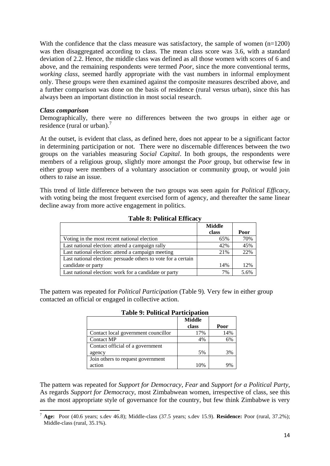With the confidence that the class measure was satisfactory, the sample of women (n=1200) was then disaggregated according to class. The mean class score was 3.6, with a standard deviation of 2.2. Hence, the middle class was defined as all those women with scores of 6 and above, and the remaining respondents were termed *Poor*, since the more conventional terms, *working class*, seemed hardly appropriate with the vast numbers in informal employment only. These groups were then examined against the composite measures described above, and a further comparison was done on the basis of residence (rural versus urban), since this has always been an important distinction in most social research.

#### <span id="page-13-0"></span>*Class comparison*

Demographically, there were no differences between the two groups in either age or residence (rural or urban).<sup>7</sup>

At the outset, is evident that class, as defined here, does not appear to be a significant factor in determining participation or not. There were no discernable differences between the two groups on the variables measuring *Social Capital*. In both groups, the respondents were members of a religious group, slightly more amongst the *Poor* group, but otherwise few in either group were members of a voluntary association or community group, or would join others to raise an issue.

This trend of little difference between the two groups was seen again for *Political Efficacy*, with voting being the most frequent exercised form of agency, and thereafter the same linear decline away from more active engagement in politics.

|                                                               | <b>Middle</b> |      |
|---------------------------------------------------------------|---------------|------|
|                                                               | class         | Poor |
| Voting in the most recent national election                   | 65%           | 70%  |
| Last national election: attend a campaign rally               | 42%           | 45%  |
| Last national election: attend a campaign meeting             | 21%           | 22%  |
| Last national election: persuade others to vote for a certain |               |      |
| candidate or party                                            | 14%           | 12%  |
| Last national election: work for a candidate or party         | 7%            | 5.6% |

#### **Table 8: Political Efficacy**

The pattern was repeated for *Political Participation* (Table 9)*.* Very few in either group contacted an official or engaged in collective action.

|                                     | <b>Middle</b><br>class | Poor |
|-------------------------------------|------------------------|------|
| Contact local government councillor | 17%                    | 14%  |
| Contact MP                          | 4%                     | 6%   |
| Contact official of a government    |                        |      |
| agency                              | 5%                     | 3%   |
| Join others to request government   |                        |      |
| action                              | 10%                    |      |

**Table 9: Political Participation**

The pattern was repeated for *Support for Democracy*, *Fear* and *Support for a Political Party*, As regards *Support for Democracy*, most Zimbabwean women, irrespective of class, see this as the most appropriate style of governance for the country, but few think Zimbabwe is very

**<sup>.</sup>** <sup>7</sup> **Age:** Poor (40.6 years; s.dev 46.8); Middle-class (37.5 years; s.dev 15.9). **Residence:** Poor (rural, 37.2%); Middle-class (rural, 35.1%).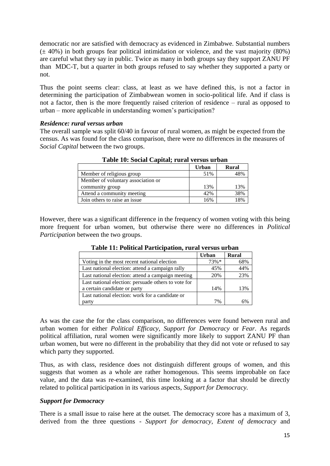democratic nor are satisfied with democracy as evidenced in Zimbabwe. Substantial numbers  $(\pm 40\%)$  in both groups fear political intimidation or violence, and the vast majority (80%) are careful what they say in public. Twice as many in both groups say they support ZANU PF than MDC-T, but a quarter in both groups refused to say whether they supported a party or not.

Thus the point seems clear: class, at least as we have defined this, is not a factor in determining the participation of Zimbabwean women in socio-political life. And if class is not a factor, then is the more frequently raised criterion of residence – rural as opposed to urban – more applicable in understanding women"s participation?

#### <span id="page-14-0"></span>*Residence: rural versus urban*

The overall sample was split 60/40 in favour of rural women, as might be expected from the census. As was found for the class comparison, there were no differences in the measures of *Social Capital* between the two groups.

|                                    | Urban | <b>Rural</b> |
|------------------------------------|-------|--------------|
| Member of religious group          | 51%   | 48%          |
| Member of voluntary association or |       |              |
| community group                    | 13%   | 13%          |
| Attend a community meeting         | 42%   | 38%          |
| Join others to raise an issue      | 16%   | 18%          |

**Table 10: Social Capital; rural versus urban**

However, there was a significant difference in the frequency of women voting with this being more frequent for urban women, but otherwise there were no differences in *Political Participation* between the two groups.

| Tunic III I chwedi I al menduchi I alah Telogo Glouc |        |              |  |
|------------------------------------------------------|--------|--------------|--|
|                                                      | Urban  | <b>Rural</b> |  |
| Voting in the most recent national election          | $73%*$ | 68%          |  |
| Last national election: attend a campaign rally      | 45%    | 44%          |  |
| Last national election: attend a campaign meeting    | 20%    | 23%          |  |
| Last national election: persuade others to vote for  |        |              |  |
| a certain candidate or party                         | 14%    | 13%          |  |
| Last national election: work for a candidate or      |        |              |  |
| party                                                | 7%     |              |  |

**Table 11: Political Participation, rural versus urban**

As was the case the for the class comparison, no differences were found between rural and urban women for either *Political Efficacy, Support for Democracy* or *Fear*. As regards political affiliation, rural women were significantly more likely to support ZANU PF than urban women, but were no different in the probability that they did not vote or refused to say which party they supported.

Thus, as with class, residence does not distinguish different groups of women, and this suggests that women as a whole are rather homogenous. This seems improbable on face value, and the data was re-examined, this time looking at a factor that should be directly related to political participation in its various aspects, *Support for Democracy.*

#### *Support for Democracy*

There is a small issue to raise here at the outset. The democracy score has a maximum of 3, derived from the three questions - *Support for democracy, Extent of democracy* and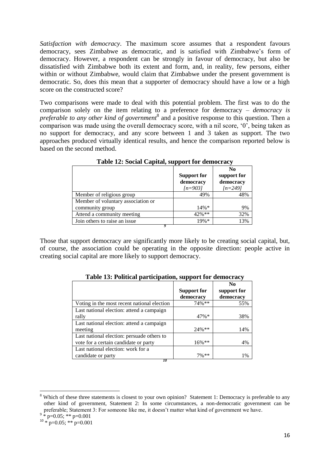*Satisfaction with democracy*. The maximum score assumes that a respondent favours democracy, sees Zimbabwe as democratic, and is satisfied with Zimbabwe"s form of democracy. However, a respondent can be strongly in favour of democracy, but also be dissatisfied with Zimbabwe both its extent and form, and, in reality, few persons, either within or without Zimbabwe, would claim that Zimbabwe under the present government is democratic. So, does this mean that a supporter of democracy should have a low or a high score on the constructed score?

Two comparisons were made to deal with this potential problem. The first was to do the comparison solely on the item relating to a preference for democracy – *democracy is*  preferable to any other kind of government<sup>8</sup> and a positive response to this question. Then a comparison was made using the overall democracy score, with a nil score, "0", being taken as no support for democracy, and any score between 1 and 3 taken as support. The two approaches produced virtually identical results, and hence the comparison reported below is based on the second method.

|                                    | <b>Support for</b><br>democracy<br>$[n=903]$ | N <sub>0</sub><br>support for<br>democracy<br>$[n=249]$ |
|------------------------------------|----------------------------------------------|---------------------------------------------------------|
| Member of religious group          | 49%                                          | 48%                                                     |
| Member of voluntary association or |                                              |                                                         |
| community group                    | $14\%*$                                      | 9%                                                      |
| Attend a community meeting         | $42\%$ **                                    | 32%                                                     |
| Join others to raise an issue.     | $19%$ *                                      | 13%                                                     |
|                                    |                                              |                                                         |

**Table 12: Social Capital, support for democracy**

Those that support democracy are significantly more likely to be creating social capital, but, of course, the association could be operating in the opposite direction: people active in creating social capital are more likely to support democracy.

|                                             |                    | N <sub>0</sub> |
|---------------------------------------------|--------------------|----------------|
|                                             | <b>Support for</b> | support for    |
|                                             | democracy          | democracy      |
| Voting in the most recent national election | $74\%**$           | 55%            |
| Last national election: attend a campaign   |                    |                |
| rally                                       | $47\%*$            | 38%            |
| Last national election: attend a campaign   |                    |                |
| meeting                                     | 24%**              | 14%            |
| Last national election: persuade others to  |                    |                |
| vote for a certain candidate or party       | $16\%$ **          | 4%             |
| Last national election: work for a          |                    |                |
| candidate or party                          | $7%$ **            | 1%             |
| 10                                          |                    |                |

**Table 13: Political participation, support for democracy**

1

<sup>&</sup>lt;sup>8</sup> Which of these three statements is closest to your own opinion? Statement 1: Democracy is preferable to any other kind of government, Statement 2: In some circumstances, a non-democratic government can be preferable; Statement 3: For someone like me, it doesn't matter what kind of government we have.<br><sup>9</sup> \* p=0.05; \*\* p=0.001

 $10 * p=0.05$ ; \*\*  $p=0.001$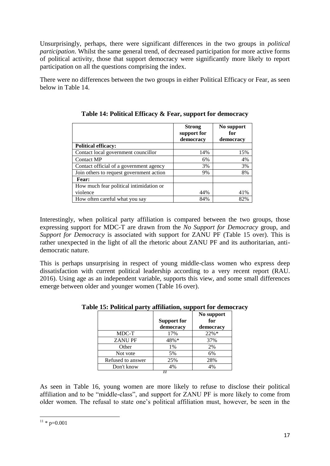Unsurprisingly, perhaps, there were significant differences in the two groups in *political participation*. Whilst the same general trend, of decreased participation for more active forms of political activity, those that support democracy were significantly more likely to report participation on all the questions comprising the index.

There were no differences between the two groups in either Political Efficacy or Fear, as seen below in Table 14.

|                                          | <b>Strong</b><br>support for<br>democracy | No support<br>for<br>democracy |
|------------------------------------------|-------------------------------------------|--------------------------------|
| <b>Political efficacy:</b>               |                                           |                                |
| Contact local government councillor      | 14%                                       | 15%                            |
| <b>Contact MP</b>                        | 6%                                        | 4%                             |
| Contact official of a government agency  | 3%                                        | 3%                             |
| Join others to request government action | 9%                                        | 8%                             |
| Fear:                                    |                                           |                                |
| How much fear political intimidation or  |                                           |                                |
| violence                                 | 44%                                       | 41%                            |
| How often careful what you say           | 84%                                       | 82%                            |

**Table 14: Political Efficacy & Fear, support for democracy**

Interestingly, when political party affiliation is compared between the two groups, those expressing support for MDC-T are drawn from the *No Support for Democracy* group, and *Support for Democracy* is associated with support for ZANU PF (Table 15 over). This is rather unexpected in the light of all the rhetoric about ZANU PF and its authoritarian, antidemocratic nature.

This is perhaps unsurprising in respect of young middle-class women who express deep dissatisfaction with current political leadership according to a very recent report (RAU. 2016). Using age as an independent variable, supports this view, and some small differences emerge between older and younger women (Table 16 over).

|                   | <b>Support for</b><br>democracy | No support<br>for<br>democracy |  |
|-------------------|---------------------------------|--------------------------------|--|
| MDC-T             | 17%                             | 22%*                           |  |
| <b>ZANUPF</b>     | 48%*                            | 37%                            |  |
| Other             | 1%                              | 2%                             |  |
| Not vote          | 5%                              | 6%                             |  |
| Refused to answer | 25%                             | 28%                            |  |
| Don't know        | 4%                              | 4%                             |  |
|                   |                                 |                                |  |

#### **Table 15: Political party affiliation, support for democracy**

As seen in Table 16, young women are more likely to refuse to disclose their political affiliation and to be "middle-class", and support for ZANU PF is more likely to come from older women. The refusal to state one"s political affiliation must, however, be seen in the

**<sup>.</sup>**  $11 * p=0.001$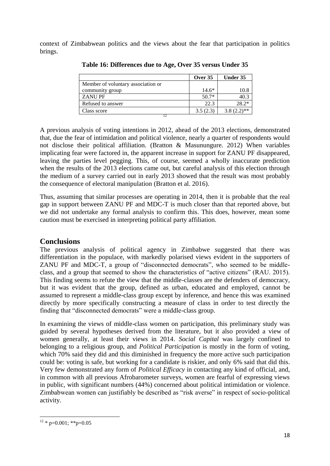context of Zimbabwean politics and the views about the fear that participation in politics brings.

| Over $35$ | Under 35      |
|-----------|---------------|
|           |               |
| $14.6*$   | 10.8          |
| $50.7*$   | 40.3          |
| 22.3      | $28.2*$       |
| 3.5(2.3)  | $3.8(2.2)$ ** |
|           |               |

**Table 16: Differences due to Age, Over 35 versus Under 35**

A previous analysis of voting intentions in 2012, ahead of the 2013 elections, demonstrated that, due the fear of intimidation and political violence, nearly a quarter of respondents would not disclose their political affiliation. (Bratton & Masunungure. 2012) When variables implicating fear were factored in, the apparent increase in support for ZANU PF disappeared, leaving the parties level pegging. This, of course, seemed a wholly inaccurate prediction when the results of the 2013 elections came out, but careful analysis of this election through the medium of a survey carried out in early 2013 showed that the result was most probably the consequence of electoral manipulation (Bratton et al. 2016).

Thus, assuming that similar processes are operating in 2014, then it is probable that the real gap in support between ZANU PF and MDC-T is much closer than that reported above, but we did not undertake any formal analysis to confirm this. This does, however, mean some caution must be exercised in interpreting political party affiliation.

# <span id="page-17-0"></span>**Conclusions**

The previous analysis of political agency in Zimbabwe suggested that there was differentiation in the populace, with markedly polarised views evident in the supporters of ZANU PF and MDC-T, a group of "disconnected democrats", who seemed to be middleclass, and a group that seemed to show the characteristics of "active citizens" (RAU. 2015). This finding seems to refute the view that the middle-classes are the defenders of democracy, but it was evident that the group, defined as urban, educated and employed, cannot be assumed to represent a middle-class group except by inference, and hence this was examined directly by more specifically constructing a measure of class in order to test directly the finding that "disconnected democrats" were a middle-class group.

In examining the views of middle-class women on participation, this preliminary study was guided by several hypotheses derived from the literature, but it also provided a view of women generally, at least their views in 2014. *Social Capital* was largely confined to belonging to a religious group, and *Political Participation* is mostly in the form of voting, which 70% said they did and this diminished in frequency the more active such participation could be: voting is safe, but working for a candidate is riskier, and only 6% said that did this. Very few demonstrated any form of *Political Efficacy* in contacting any kind of official, and, in common with all previous Afrobarometer surveys, women are fearful of expressing views in public, with significant numbers (44%) concerned about political intimidation or violence. Zimbabwean women can justifiably be described as "risk averse" in respect of socio-political activity.

**<sup>.</sup>**  $12 * p=0.001$ ; \*\*p=0.05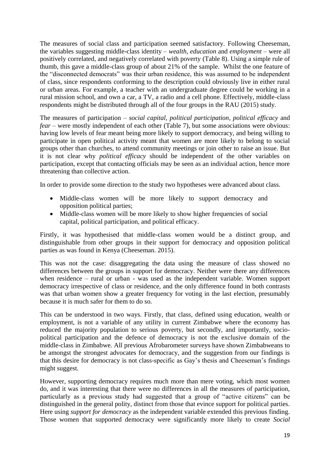The measures of social class and participation seemed satisfactory. Following Cheeseman, the variables suggesting middle-class identity – *wealth*, *education* and *employment* – were all positively correlated, and negatively correlated with poverty (Table 8). Using a simple rule of thumb, this gave a middle-class group of about 21% of the sample. Whilst the one feature of the "disconnected democrats" was their urban residence, this was assumed to be independent of class, since respondents conforming to the description could obviously live in either rural or urban areas. For example, a teacher with an undergraduate degree could be working in a rural mission school, and own a car, a TV, a radio and a cell phone. Effectively, middle-class respondents might be distributed through all of the four groups in the RAU (2015) study.

The measures of participation – *social capital*, *political participation*, *political efficacy* and *fear* – were mostly independent of each other (Table 7), but some associations were obvious: having low levels of fear meant being more likely to support democracy, and being willing to participate in open political activity meant that women are more likely to belong to social groups other than churches, to attend community meetings or join other to raise an issue. But it is not clear why *political efficacy* should be independent of the other variables on participation, except that contacting officials may be seen as an individual action, hence more threatening than collective action.

In order to provide some direction to the study two hypotheses were advanced about class.

- Middle-class women will be more likely to support democracy and opposition political parties;
- Middle-class women will be more likely to show higher frequencies of social capital, political participation, and political efficacy.

Firstly, it was hypothesised that middle-class women would be a distinct group, and distinguishable from other groups in their support for democracy and opposition political parties as was found in Kenya (Cheeseman. 2015).

This was not the case: disaggregating the data using the measure of class showed no differences between the groups in support for democracy. Neither were there any differences when residence – rural or urban - was used as the independent variable. Women support democracy irrespective of class or residence, and the only difference found in both contrasts was that urban women show a greater frequency for voting in the last election, presumably because it is much safer for them to do so.

This can be understood in two ways. Firstly, that class, defined using education, wealth or employment, is not a variable of any utility in current Zimbabwe where the economy has reduced the majority population to serious poverty, but secondly, and importantly, sociopolitical participation and the defence of democracy is not the exclusive domain of the middle-class in Zimbabwe. All previous Afrobarometer surveys have shown Zimbabweans to be amongst the strongest advocates for democracy, and the suggestion from our findings is that this desire for democracy is not class-specific as Gay's thesis and Cheeseman's findings might suggest.

However, supporting democracy requires much more than mere voting, which most women do, and it was interesting that there were no differences in all the measures of participation, particularly as a previous study had suggested that a group of "active citizens" can be distinguished in the general polity, distinct from those that evince support for political parties. Here using *support for democracy* as the independent variable extended this previous finding. Those women that supported democracy were significantly more likely to create *Social*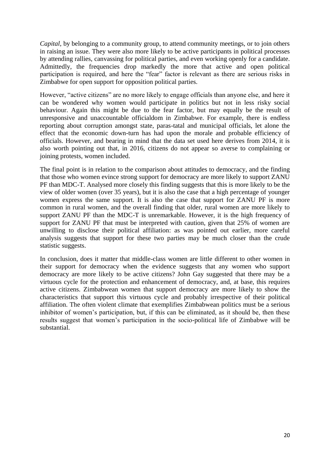*Capital*, by belonging to a community group, to attend community meetings, or to join others in raising an issue. They were also more likely to be active participants in political processes by attending rallies, canvassing for political parties, and even working openly for a candidate. Admittedly, the frequencies drop markedly the more that active and open political participation is required, and here the "fear" factor is relevant as there are serious risks in Zimbabwe for open support for opposition political parties.

However, "active citizens" are no more likely to engage officials than anyone else, and here it can be wondered why women would participate in politics but not in less risky social behaviour. Again this might be due to the fear factor, but may equally be the result of unresponsive and unaccountable officialdom in Zimbabwe. For example, there is endless reporting about corruption amongst state, paras-tatal and municipal officials, let alone the effect that the economic down-turn has had upon the morale and probable efficiency of officials. However, and bearing in mind that the data set used here derives from 2014, it is also worth pointing out that, in 2016, citizens do not appear so averse to complaining or joining protests, women included.

The final point is in relation to the comparison about attitudes to democracy, and the finding that those who women evince strong support for democracy are more likely to support ZANU PF than MDC-T. Analysed more closely this finding suggests that this is more likely to be the view of older women (over 35 years), but it is also the case that a high percentage of younger women express the same support. It is also the case that support for ZANU PF is more common in rural women, and the overall finding that older, rural women are more likely to support ZANU PF than the MDC-T is unremarkable. However, it is the high frequency of support for ZANU PF that must be interpreted with caution, given that 25% of women are unwilling to disclose their political affiliation: as was pointed out earlier, more careful analysis suggests that support for these two parties may be much closer than the crude statistic suggests.

In conclusion, does it matter that middle-class women are little different to other women in their support for democracy when the evidence suggests that any women who support democracy are more likely to be active citizens? John Gay suggested that there may be a virtuous cycle for the protection and enhancement of democracy, and, at base, this requires active citizens. Zimbabwean women that support democracy are more likely to show the characteristics that support this virtuous cycle and probably irrespective of their political affiliation. The often violent climate that exemplifies Zimbabwean politics must be a serious inhibitor of women's participation, but, if this can be eliminated, as it should be, then these results suggest that women"s participation in the socio-political life of Zimbabwe will be substantial.